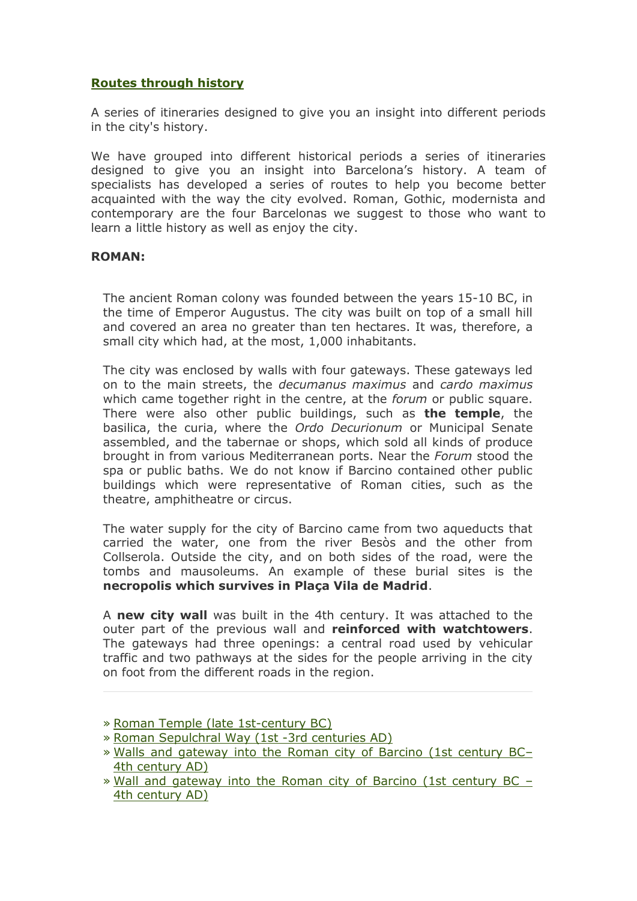# **Routes through history**

A series of itineraries designed to give you an insight into different periods in the city's history.

We have grouped into different historical periods a series of itineraries designed to give you an insight into Barcelona's history. A team of specialists has developed a series of routes to help you become better acquainted with the way the city evolved. Roman, Gothic, modernista and contemporary are the four Barcelonas we suggest to those who want to learn a little history as well as enjoy the city.

#### **ROMAN:**

The ancient Roman colony was founded between the years 15-10 BC, in the time of Emperor Augustus. The city was built on top of a small hill and covered an area no greater than ten hectares. It was, therefore, a small city which had, at the most, 1,000 inhabitants.

The city was enclosed by walls with four gateways. These gateways led on to the main streets, the *decumanus maximus* and *cardo maximus* which came together right in the centre, at the *forum* or public square. There were also other public buildings, such as **the temple**, the basilica, the curia, where the *Ordo Decurionum* or Municipal Senate assembled, and the tabernae or shops, which sold all kinds of produce brought in from various Mediterranean ports. Near the *Forum* stood the spa or public baths. We do not know if Barcino contained other public buildings which were representative of Roman cities, such as the theatre, amphitheatre or circus.

The water supply for the city of Barcino came from two aqueducts that carried the water, one from the river Besòs and the other from Collserola. Outside the city, and on both sides of the road, were the tombs and mausoleums. An example of these burial sites is the **necropolis which survives in Plaça Vila de Madrid**.

A **new city wall** was built in the 4th century. It was attached to the outer part of the previous wall and **reinforced with watchtowers**. The gateways had three openings: a central road used by vehicular traffic and two pathways at the sides for the people arriving in the city on foot from the different roads in the region.

- » [Roman Sepulchral Way \(1st -3rd centuries AD\)](http://www.barcelonaturisme.com/?go=jN7uAYLx/oIJaWVXCLgdU9f8nJUIKOZTX43wP+K7llHnRskuxO5wPpYiIvU7u319QGm9wCNC6N9WUYKzg+btMk0Qoevebo+xH9K/8DI=)
- » [Walls and gateway into the Roman city of Barcino \(1st century BC](http://www.barcelonaturisme.com/?go=jN7uAYLx/oIJaWVXCLgdU9f8nJUIKOZTX43wP+K7llHmRskuxO5wPpYiIvU7u319QGm9wCNC6N9WUYKzg+btMk0QoevYbYS0GtC+8jA=) [4th century AD\)](http://www.barcelonaturisme.com/?go=jN7uAYLx/oIJaWVXCLgdU9f8nJUIKOZTX43wP+K7llHmRskuxO5wPpYiIvU7u319QGm9wCNC6N9WUYKzg+btMk0QoevYbYS0GtC+8jA=)
- » [Wall and gateway into the Roman city of Barcino \(1st century BC](http://www.barcelonaturisme.com/?go=jN7uAYLx/oIJaWVXCLgdU9f8nJUIKOZTX43wP+K7llHhRskuxO5wPpYiIvU7u319QGm9wCNC6N9WUYKzg+btMk0QoenYaI62Gdu49jY=)  [4th century AD\)](http://www.barcelonaturisme.com/?go=jN7uAYLx/oIJaWVXCLgdU9f8nJUIKOZTX43wP+K7llHhRskuxO5wPpYiIvU7u319QGm9wCNC6N9WUYKzg+btMk0QoenYaI62Gdu49jY=)

<sup>»</sup> [Roman Temple \(late 1st-century BC\)](http://www.barcelonaturisme.com/?go=jN7uAYLx/oIJaWVXCLgdU9f8nJUIKOZTX43wP+K7llHkRskuxO5wPpYiIvU7u319QGm9wCNC6N9WUYKzg+btMk0QoejZb4CwH9a99Q==)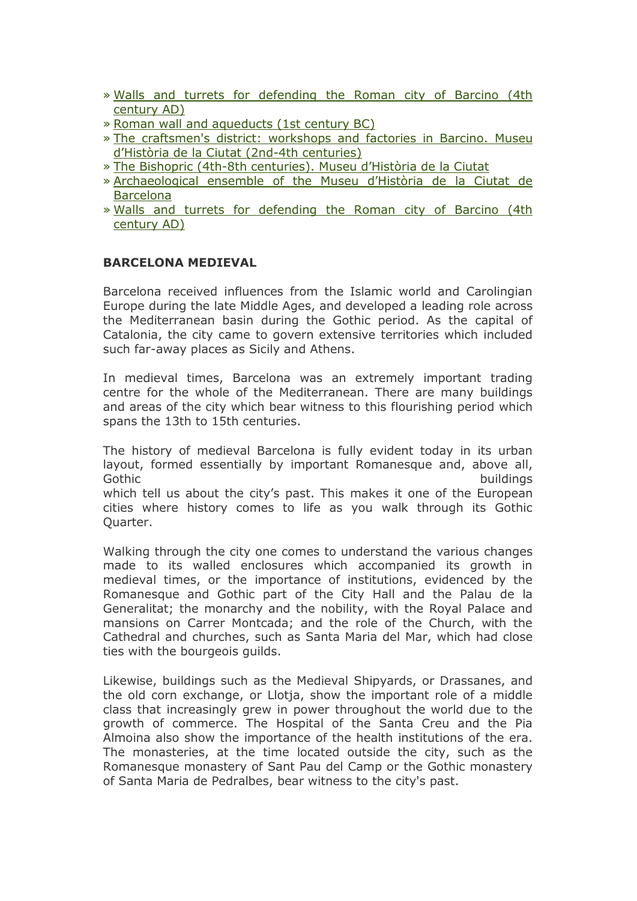- » [Walls and turrets for defending the Roman city of Barcino \(4th](http://www.barcelonaturisme.com/?go=jN7uAYLx/oIJaWVXCLgdU9f8nJUIKOZTX43wP+K7llHtRskuxO5wPpYiIvU7u319QGm9wCNC6N9WUYKzg+btMk0QoendZoa3GNK58Dc=)  [century AD\)](http://www.barcelonaturisme.com/?go=jN7uAYLx/oIJaWVXCLgdU9f8nJUIKOZTX43wP+K7llHtRskuxO5wPpYiIvU7u319QGm9wCNC6N9WUYKzg+btMk0QoendZoa3GNK58Dc=)
- » [Roman wall and aqueducts \(1st century BC\)](http://www.barcelonaturisme.com/?go=jN7uAYLx/oIJaWVXCLgdU9f8nJUIKOZTX43wP+K7llHsRskuxO5wPpYiIvU7u319QGm9wCNC6N9WUYKzg+btMk0Qoe7Yb4SyHdK49jU=)
- » [The craftsmen's district: workshops and factories in Barcino. Museu](http://www.barcelonaturisme.com/?go=jN7uAYLx/oIJaWVXCLgdU9f8nJUIKOZTX43wP+K7llHkUJ8/1/18YJgsN7A3sGlsRX+qmCtH/ppaWou7iP2lIlMSsfvYbY+1HtK99DAD)  [d'Història de la Ciutat \(2nd](http://www.barcelonaturisme.com/?go=jN7uAYLx/oIJaWVXCLgdU9f8nJUIKOZTX43wP+K7llHkUJ8/1/18YJgsN7A3sGlsRX+qmCtH/ppaWou7iP2lIlMSsfvYbY+1HtK99DAD)-4th centuries)
- » [The Bishopric \(4th-8th centuries\).](http://www.barcelonaturisme.com/?go=jN7uAYLx/oIJaWVXCLgdU9f8nJUIKOZTX43wP+K7llHkUZ8/1/18YJgsN7A3sGlsRX+qmCtH/ppaWou7iP2lIlMSsfvYaIG3GNu59z4N) Museu d'Història de la Ciutat
- » [Archaeological ensemble of the Museu d'Història de la Ciutat de](http://www.barcelonaturisme.com/?go=jN7uAYLx/oIJaWVXCLgdU9f8nJUIKOZTX43wP+K7llHkUp8/1/18YJgsN7A3sGlsRX+qmCtH/ppaWou7iP2lIlMSsfvQbo+1HNW89g==)  [Barcelona](http://www.barcelonaturisme.com/?go=jN7uAYLx/oIJaWVXCLgdU9f8nJUIKOZTX43wP+K7llHkUp8/1/18YJgsN7A3sGlsRX+qmCtH/ppaWou7iP2lIlMSsfvQbo+1HNW89g==)
- » [Walls and turrets for defending the Roman city of Barcino \(4th](http://www.barcelonaturisme.com/?go=jN7uAYLx/oIJaWVXCLgdU9f8nJUIKOZTX43wP+K7llHtUZ8/1/18YJgsN7A3sGlsRX+qmCtH/ppaWou7iP2lIlMSsfvYZ4S3HNK68jAI)  [century AD\)](http://www.barcelonaturisme.com/?go=jN7uAYLx/oIJaWVXCLgdU9f8nJUIKOZTX43wP+K7llHtUZ8/1/18YJgsN7A3sGlsRX+qmCtH/ppaWou7iP2lIlMSsfvYZ4S3HNK68jAI)

# **BARCELONA MEDIEVAL**

Barcelona received influences from the Islamic world and Carolingian Europe during the late Middle Ages, and developed a leading role across the Mediterranean basin during the Gothic period. As the capital of Catalonia, the city came to govern extensive territories which included such far-away places as Sicily and Athens.

In medieval times, Barcelona was an extremely important trading centre for the whole of the Mediterranean. There are many buildings and areas of the city which bear witness to this flourishing period which spans the 13th to 15th centuries.

The history of medieval Barcelona is fully evident today in its urban layout, formed essentially by important Romanesque and, above all, Gothic **buildings** and the contract of the contract of the contract of the contract of the contract of the contract of the contract of the contract of the contract of the contract of the contract of the contract of the con which tell us about the city's past. This makes it one of the European cities where history comes to life as you walk through its Gothic Quarter.

Walking through the city one comes to understand the various changes made to its walled enclosures which accompanied its growth in medieval times, or the importance of institutions, evidenced by the Romanesque and Gothic part of the City Hall and the Palau de la Generalitat; the monarchy and the nobility, with the Royal Palace and mansions on Carrer Montcada; and the role of the Church, with the Cathedral and churches, such as Santa Maria del Mar, which had close ties with the bourgeois guilds.

Likewise, buildings such as the Medieval Shipyards, or Drassanes, and the old corn exchange, or Llotja, show the important role of a middle class that increasingly grew in power throughout the world due to the growth of commerce. The Hospital of the Santa Creu and the Pia Almoina also show the importance of the health institutions of the era. The monasteries, at the time located outside the city, such as the Romanesque monastery of Sant Pau del Camp or the Gothic monastery of Santa Maria de Pedralbes, bear witness to the city's past.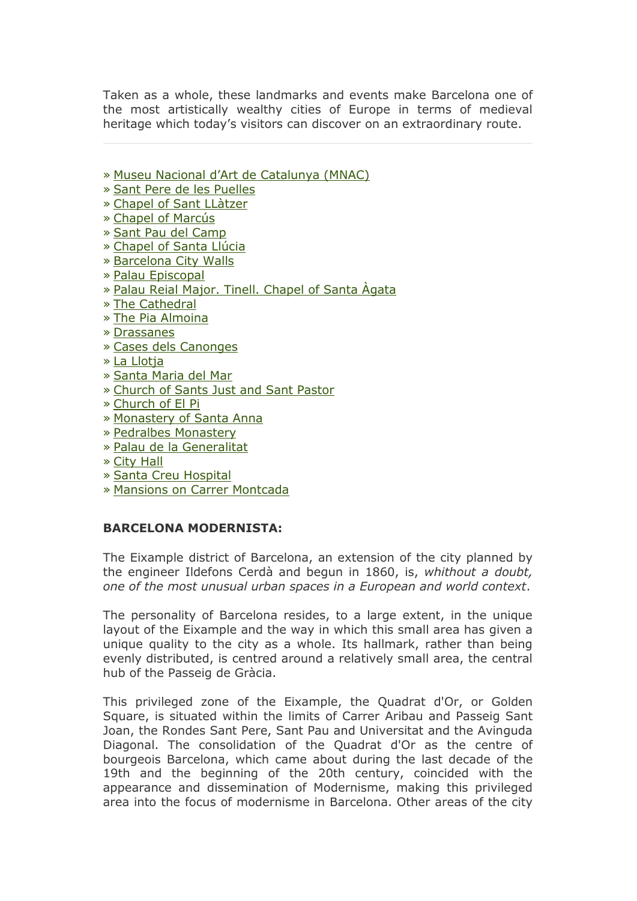Taken as a whole, these landmarks and events make Barcelona one of the most artistically wealthy cities of Europe in terms of medieval heritage which today's visitors can discover on an extraordinary route.

- » [Museu Nacional d'Art de Catalunya \(MNAC\)](http://www.barcelonaturisme.com/?go=jN7uAYLx/oIJaWVXCLgdU9f8nJUIKOZVX43wP+K7llHnVp8/1/18YJgsNrA3sGlsRX+qmCtH/ppaWou7iP2lIlMSsfvYboC3FdK98TQI)
- » [Sant Pere de les Puelles](http://www.barcelonaturisme.com/?go=jN7uAYLx/oIJaWVXCLgdU9f8nJUIKOZVX43wP+K7llHnV58/1/18YJgsN7A3sGlsRX+qmCtH/ppaWou7iP2lIlMSsfvabIe0HdS5/jAM)
- » [Chapel of Sant LLàtzer](http://www.barcelonaturisme.com/?go=jN7uAYLx/oIJaWVXCLgdU9f8nJUIKOZVX43wP+K7llHnWJ8/1/18YJgsN7A3sGlsRX+qmCtH/ppaWou7iP2lIlMSsfvabY60Htq99zQL)
- » [Chapel of Marcús](http://www.barcelonaturisme.com/?go=jN7uAYLx/oIJaWVXCLgdU9f8nJUIKOZVX43wP+K7llHnWZ8/1/18YJgsN7A3sGlsRX+qmCtH/ppaWou7iP2lIlMSsfvaaIC2G9W48D8P)
- » [Sant Pau del Camp](http://www.barcelonaturisme.com/?go=jN7uAYLx/oIJaWVXCLgdU9f8nJUIKOZVX43wP+K7llHmUJ8/1/18YJgsN7A3sGlsRX+qmCtH/ppaWou7iP2lIlMSsfvdboewH9G/8DYK)
- » [Chapel of Santa Llúcia](http://www.barcelonaturisme.com/?go=jN7uAYLx/oIJaWVXCLgdU9f8nJUIKOZVX43wP+K7llHmUZ8/1/18YJgsN7A3sGlsRX+qmCtH/ppaWou7iP2lIlMSsfvaa46yHdO68j8O)
- » [Barcelona City Walls](http://www.barcelonaturisme.com/?go=jN7uAYLx/oIJaWVXCLgdU9f8nJUIKOZVX43wP+K7llHmUp8/1/18YJgsN7A3sGlsRX+qmCtH/ppaWou7iP2lIlMSsfvabo+1GtW+/jUM)
- » [Palau Episcopal](http://www.barcelonaturisme.com/?go=jN7uAYLx/oIJaWVXCLgdU9f8nJUIKOZVX43wP+K7llHmU58/1/18YJgsN7A3sGlsRX+qmCtH/ppaWou7iP2lIlMSsfvbaoC3GNe5/jYI)
- » [Palau Reial Major. Tinell. Chapel of Santa Àgata](http://www.barcelonaturisme.com/?go=jN7uAYLx/oIJaWVXCLgdU9f8nJUIKOZVX43wP+K7llHmVJ8/1/18YJgsN7A3sGlsRX+qmCtH/ppaWou7iP2lIlMSsfvYaIWyGdW49DYK)
- » [The Cathedral](http://www.barcelonaturisme.com/?go=jN7uAYLx/oIJaWVXCLgdU9f8nJUIKOZVX43wP+K7llHmVZ8/1/18YJgsN7A3sGlsRX+qmCtH/ppaWou7iP2lIlMSsfvYboa0H9C49D8O)
- » [The Pia Almoina](http://www.barcelonaturisme.com/?go=jN7uAYLx/oIJaWVXCLgdU9f8nJUIKOZVX43wP+K7llHmVp8/1/18YJgsN7A3sGlsRX+qmCtH/ppaWou7iP2lIlMSsfvRb4W2HNG68z4=)
- » [Drassanes](http://www.barcelonaturisme.com/?go=jN7uAYLx/oIJaWVXCLgdU9f8nJUIKOZVX43wP+K7llHmV58/1/18YJgsN7A3sGlsRX+qmCtH/ppaWou7iP2lIlMSsfvYZ46xG9G09jI=)
- » [Cases dels Canonges](http://www.barcelonaturisme.com/?go=jN7uAYLx/oIJaWVXCLgdU9f8nJUIKOZVX43wP+K7llHmWJ8/1/18YJgsN7A3sGlsRX+qmCtH/ppaWou7iP2lIlMSsfvYZoK0Gta19zc=)
- » [La Llotja](http://www.barcelonaturisme.com/?go=jN7uAYLx/oIJaWVXCLgdU9f8nJUIKOZVX43wP+K7llHmWZ8/1/18YJgsN7A3sGlsRX+qmCtH/ppaWou7iP2lIlMSsfveZoexGNe78zE=)
- » [Santa Maria del Mar](http://www.barcelonaturisme.com/?go=jN7uAYLx/oIJaWVXCLgdU9f8nJUIKOZVX43wP+K7llHhUJ8/1/18YJgsN7A3sGlsRX+qmCtH/ppaWou7iP2lIlMSsfvdboK0FNS1/jML)
- » [Church of Sants Just and Sant Pastor](http://www.barcelonaturisme.com/?go=jN7uAYLx/oIJaWVXCLgdU9f8nJUIKOZVX43wP+K7llHhUZ8/1/18YJgsN7A3sGlsRX+qmCtH/ppaWou7iP2lIlMSsfvaaoO2GtC88TcN)
- » [Church of El Pi](http://www.barcelonaturisme.com/?go=jN7uAYLx/oIJaWVXCLgdU9f8nJUIKOZVX43wP+K7llHhUp8/1/18YJgsN7A3sGlsRX+qmCtH/ppaWou7iP2lIlMSsfvabo6wFNW99j4N)
- » [Monastery of Santa Anna](http://www.barcelonaturisme.com/?go=jN7uAYLx/oIJaWVXCLgdU9f8nJUIKOZVX43wP+K7llHhU58/1/18YJgsN7A3sGlsRX+qmCtH/ppaWou7iP2lIlMSsfvbao+yGtC98D8N)
- » [Pedralbes Monastery](http://www.barcelonaturisme.com/?go=jN7uAYLx/oIJaWVXCLgdU9f8nJUIKOZVX43wP+K7llHhVJ8/1/18YJgsN7A3sGlsRX+qmCtH/ppaWou7iP2lIlMSsfvYaIe0Fdu99zcP)
- » [Palau de la Generalitat](http://www.barcelonaturisme.com/?go=jN7uAYLx/oIJaWVXCLgdU9f8nJUIKOZVX43wP+K7llHhVZ8/1/18YJgsN7A3sGlsRX+qmCtH/ppaWou7iP2lIlMSsfvYb462G9W48z4L)
- » [City Hall](http://www.barcelonaturisme.com/?go=jN7uAYLx/oIJaWVXCLgdU9f8nJUIKOZVX43wP+K7llHhVp8/1/18YJgsN7A3sGlsRX+qmCtH/ppaWou7iP2lIlMSsfvea4G+FNC//jM=)
- » [Santa Creu Hospital](http://www.barcelonaturisme.com/?go=jN7uAYLx/oIJaWVXCLgdU9f8nJUIKOZVX43wP+K7llHhV58/1/18YJgsN7A3sGlsRX+qmCtH/ppaWou7iP2lIlMSsfvYbIOwGte09zM=)
- » [Mansions on Carrer Montcada](http://www.barcelonaturisme.com/?go=jN7uAYLx/oIJaWVXCLgdU9f8nJUIKOZVX43wP+K7llHhWJ8/1/18YJgsN7A3sGlsRX+qmCtH/ppaWou7iP2lIlMSsfvYa46wHdG69DY=)

# **BARCELONA MODERNISTA:**

The Eixample district of Barcelona, an extension of the city planned by the engineer Ildefons Cerdà and begun in 1860, is, *whithout a doubt, one of the most unusual urban spaces in a European and world context*.

The personality of Barcelona resides, to a large extent, in the unique layout of the Eixample and the way in which this small area has given a unique quality to the city as a whole. Its hallmark, rather than being evenly distributed, is centred around a relatively small area, the central hub of the Passeig de Gràcia.

This privileged zone of the Eixample, the Quadrat d'Or, or Golden Square, is situated within the limits of Carrer Aribau and Passeig Sant Joan, the Rondes Sant Pere, Sant Pau and Universitat and the Avinguda Diagonal. The consolidation of the Quadrat d'Or as the centre of bourgeois Barcelona, which came about during the last decade of the 19th and the beginning of the 20th century, coincided with the appearance and dissemination of Modernisme, making this privileged area into the focus of modernisme in Barcelona. Other areas of the city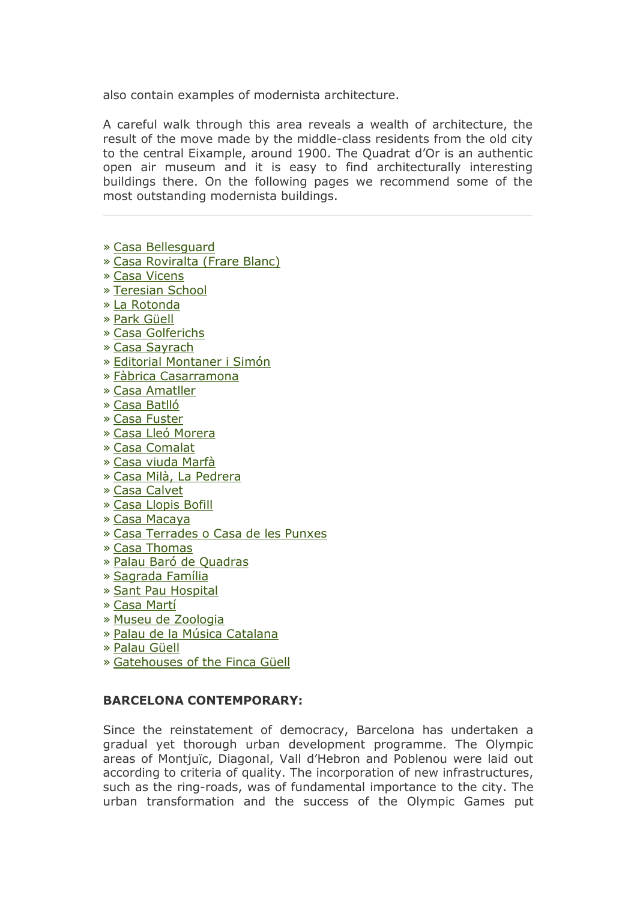also contain examples of modernista architecture.

A careful walk through this area reveals a wealth of architecture, the result of the move made by the middle-class residents from the old city to the central Eixample, around 1900. The Quadrat d'Or is an authentic open air museum and it is easy to find architecturally interesting buildings there. On the following pages we recommend some of the most outstanding modernista buildings.

- » [Casa Bellesguard](http://www.barcelonaturisme.com/?go=jN7uAYLx/oIJaWVXCLgdU9f8nJUIKOZSX43wP+K7llHjRskuxO5wPpYiIvU7u319QGm9wCNC6N9WUYKzg+btMk0QoenZboe3GdG58DU=)
- » [Casa Roviralta \(Frare Blanc\)](http://www.barcelonaturisme.com/?go=jN7uAYLx/oIJaWVXCLgdU9f8nJUIKOZSX43wP+K7llHiRskuxO5wPpYiIvU7u319QGm9wCNC6N9WUYKzg+btMk0Qoejca4+wGNu+/j8=)
- » [Casa Vicens](http://www.barcelonaturisme.com/?go=jN7uAYLx/oIJaWVXCLgdU9f8nJUIKOZSX43wP+K7llHkU58/1/18YJgsN7A3sGlsRX+qmCtH/ppaWou7iP2lIlMSsfvYZo+1FNu98T8=)
- » [Teresian School](http://www.barcelonaturisme.com/?go=jN7uAYLx/oIJaWVXCLgdU9f8nJUIKOZSX43wP+K7llHkVJ8/1/18YJgsN7A3sGlsRX+qmCtH/ppaWou7iP2lIlMSsfvdb46/GtC09j8P)
- » [La Rotonda](http://www.barcelonaturisme.com/?go=jN7uAYLx/oIJaWVXCLgdU9f8nJUIKOZSX43wP+K7llHkVZ8/1/18YJgsN7A3sGlsRX+qmCtH/ppaWou7iP2lIlMSsfvaaoeyH9e58TYP)
- » [Park Güell](http://www.barcelonaturisme.com/?go=jN7uAYLx/oIJaWVXCLgdU9f8nJUIKOZSX43wP+K7llHkV58/1/18YJgsN7A3sGlsRX+qmCtH/ppaWou7iP2lIlMSsfvbao+3H9K59zcN)
- » [Casa Golferichs](http://www.barcelonaturisme.com/?go=jN7uAYLx/oIJaWVXCLgdU9f8nJUIKOZSX43wP+K7llHkWJ8/1/18YJgsN7A3sGlsRX+qmCtH/ppaWou7iP2lIlMSsfvbaoC2GdS/9DUC)
- » [Casa Sayrach](http://www.barcelonaturisme.com/?go=jN7uAYLx/oIJaWVXCLgdU9f8nJUIKOZSX43wP+K7llHkWZ8/1/18YJgsN7A3sGlsRX+qmCtH/ppaWou7iP2lIlMSsfvabo+0GtC99DEI)
- » [Editorial Montaner i Simón](http://www.barcelonaturisme.com/?go=jN7uAYLx/oIJaWVXCLgdU9f8nJUIKOZSX43wP+K7llHnUJ8/1/18YJgsN7A3sGlsRX+qmCtH/ppaWou7iP2lIlMSsfvaZo+zHdC99DcO)
- » [Fàbrica Casarramona](http://www.barcelonaturisme.com/?go=jN7uAYLx/oIJaWVXCLgdU9f8nJUIKOZSX43wP+K7llHnUZ8/1/18YJgsN7A3sGlsRX+qmCtH/ppaWou7iP2lIlMSsfvabIC0GNG//jIK)
- » [Casa Amatller](http://www.barcelonaturisme.com/?go=jN7uAYLx/oIJaWVXCLgdU9f8nJUIKOZSX43wP+K7llHnUp8/1/18YJgsN7A3sGlsRX+qmCtH/ppaWou7iP2lIlMSsfvbaIK/FNu08zIM)
- » [Casa Batlló](http://www.barcelonaturisme.com/?go=jN7uAYLx/oIJaWVXCLgdU9f8nJUIKOZSX43wP+K7llHnU58/1/18YJgsN7A3sGlsRX+qmCtH/ppaWou7iP2lIlMSsfvbboOxGNO99zYK)
- » [Casa Fuster](http://www.barcelonaturisme.com/?go=jN7uAYLx/oIJaWVXCLgdU9f8nJUIKOZSX43wP+K7llHnVJ8/1/18YJgsN7A3sGlsRX+qmCtH/ppaWou7iP2lIlMSsfvbboO2HNG48DIM)
- » [Casa Lleó Morera](http://www.barcelonaturisme.com/?go=jN7uAYLx/oIJaWVXCLgdU9f8nJUIKOZSX43wP+K7llHnVZ8/1/18YJgsN7A3sGlsRX+qmCtH/ppaWou7iP2lIlMSsfvYaoWxG9O48jEI)
- » [Casa Comalat](http://www.barcelonaturisme.com/?go=jN7uAYLx/oIJaWVXCLgdU9f8nJUIKOZSX43wP+K7llHhWZ8/1/18YJgsN7A3sGlsRX+qmCtH/ppaWou7iP2lIlMSsfvdbYezFde49zYM)
- » [Casa viuda Marfà](http://www.barcelonaturisme.com/?go=jN7uAYLx/oIJaWVXCLgdU9f8nJUIKOZSX43wP+K7llHgUJ8/1/18YJgsN7A3sGlsRX+qmCtH/ppaWou7iP2lIlMSsfvdb4ewG9K5/z4L)
- » [Casa Milà, La Pedrera](http://www.barcelonaturisme.com/?go=jN7uAYLx/oIJaWVXCLgdU9f8nJUIKOZSX43wP+K7llHgUZ8/1/18YJgsN7A3sGlsRX+qmCtH/ppaWou7iP2lIlMSsfvabI6yHdq69jMD)
- » [Casa Calvet](http://www.barcelonaturisme.com/?go=jN7uAYLx/oIJaWVXCLgdU9f8nJUIKOZSX43wP+K7llHgUp8/1/18YJgsN7A3sGlsRX+qmCtH/ppaWou7iP2lIlMSsfvbZ4azHNC8/j4L)
- » [Casa Llopis Bofill](http://www.barcelonaturisme.com/?go=jN7uAYLx/oIJaWVXCLgdU9f8nJUIKOZSX43wP+K7llHgU58/1/18YJgsN7A3sGlsRX+qmCtH/ppaWou7iP2lIlMSsfvbbYe0G9K99DcP)
- » [Casa Macaya](http://www.barcelonaturisme.com/?go=jN7uAYLx/oIJaWVXCLgdU9f8nJUIKOZSX43wP+K7llHgVJ8/1/18YJgsN7A3sGlsRX+qmCtH/ppaWou7iP2lIlMSsfvbb461Htu69j8J)
- » [Casa Terrades o Casa de les Punxes](http://www.barcelonaturisme.com/?go=jN7uAYLx/oIJaWVXCLgdU9f8nJUIKOZSX43wP+K7llHgVZ8/1/18YJgsN7A3sGlsRX+qmCtH/ppaWou7iP2lIlMSsfvYa4+2FNK19TEL)
- » [Casa Thomas](http://www.barcelonaturisme.com/?go=jN7uAYLx/oIJaWVXCLgdU9f8nJUIKOZSX43wP+K7llHgVp8/1/18YJgsN7A3sGlsRX+qmCtH/ppaWou7iP2lIlMSsfvQb4a/HNO9/zc=)
- » [Palau Baró de Quadras](http://www.barcelonaturisme.com/?go=jN7uAYLx/oIJaWVXCLgdU9f8nJUIKOZSX43wP+K7llHgV58/1/18YJgsN7A3sGlsRX+qmCtH/ppaWou7iP2lIlMSsfvbZ46yH9a/9jM=)
- » [Sagrada Família](http://www.barcelonaturisme.com/?go=jN7uAYLx/oIJaWVXCLgdU9f8nJUIKOZSX43wP+K7llHgWJ8/1/18YJgsN7A3sGlsRX+qmCtH/ppaWou7iP2lIlMSsfvbZoGzHNS58jQ=)
- » [Sant Pau Hospital](http://www.barcelonaturisme.com/?go=jN7uAYLx/oIJaWVXCLgdU9f8nJUIKOZSX43wP+K7llHgWZ8/1/18YJgsN7A3sGlsRX+qmCtH/ppaWou7iP2lIlMSsfvRZoW0HNq99jY=)
- » [Casa Martí](http://www.barcelonaturisme.com/?go=jN7uAYLx/oIJaWVXCLgdU9f8nJUIKOZSX43wP+K7llHjUJ8/1/18YJgsN7A3sGlsRX+qmCtH/ppaWou7iP2lIlMSsfvYaY6wHtq58jAC)
- » [Museu de Zoologia](http://www.barcelonaturisme.com/?go=jN7uAYLx/oIJaWVXCLgdU9f8nJUIKOZSX43wP+K7llHjUZ8/1/18YJgsN7A3sGlsRX+qmCtH/ppaWou7iP2lIlMSsfvYboe2FNO/8zUK)
- » [Palau de la Música Catalana](http://www.barcelonaturisme.com/?go=jN7uAYLx/oIJaWVXCLgdU9f8nJUIKOZSX43wP+K7llHjUp8/1/18YJgsN7A3sGlsRX+qmCtH/ppaWou7iP2lIlMSsfvebI6xFNW88T4=)
- » [Palau Güell](http://www.barcelonaturisme.com/?go=jN7uAYLx/oIJaWVXCLgdU9f8nJUIKOZSX43wP+K7llHjU58/1/18YJgsN7A3sGlsRX+qmCtH/ppaWou7iP2lIlMSsfvYa4O1H9a1/zA=)
- » [Gatehouses of the Finca Güell](http://www.barcelonaturisme.com/?go=jN7uAYLx/oIJaWVXCLgdU9f8nJUIKOZSX43wP+K7llHtUp8/1/18YJgsN7A3sGlsRX+qmCtH/ppaWou7iP2lIlMSsfveboSxHtC19TQ=)

# **BARCELONA CONTEMPORARY:**

Since the reinstatement of democracy, Barcelona has undertaken a gradual yet thorough urban development programme. The Olympic areas of Montjuïc, Diagonal, Vall d'Hebron and Poblenou were laid out according to criteria of quality. The incorporation of new infrastructures, such as the ring-roads, was of fundamental importance to the city. The urban transformation and the success of the Olympic Games put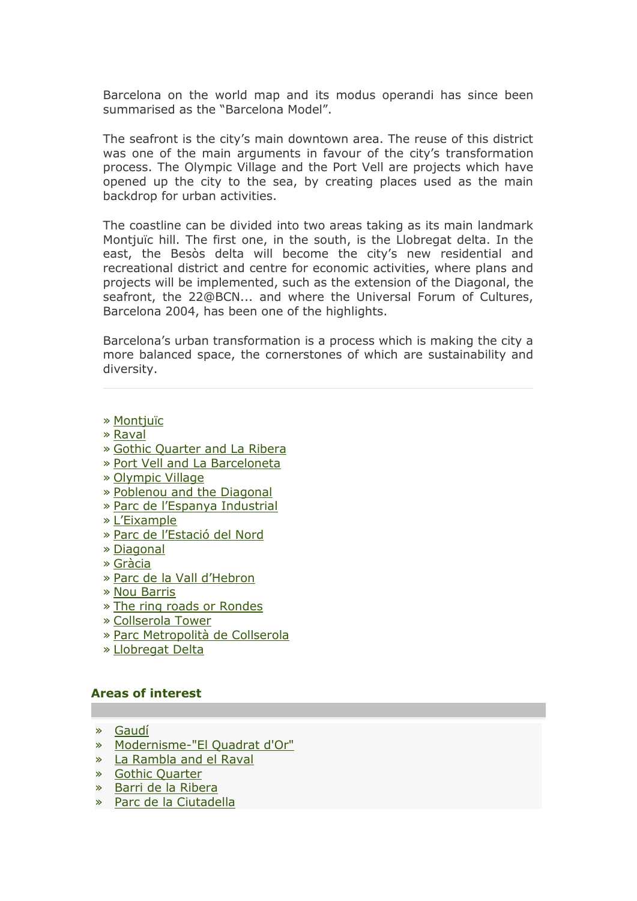Barcelona on the world map and its modus operandi has since been summarised as the "Barcelona Model".

The seafront is the city's main downtown area. The reuse of this district was one of the main arguments in favour of the city's transformation process. The Olympic Village and the Port Vell are projects which have opened up the city to the sea, by creating places used as the main backdrop for urban activities.

The coastline can be divided into two areas taking as its main landmark Montjuïc hill. The first one, in the south, is the Llobregat delta. In the east, the Besòs delta will become the city's new residential and recreational district and centre for economic activities, where plans and projects will be implemented, such as the extension of the Diagonal, the seafront, the 22@BCN... and where the Universal Forum of Cultures, Barcelona 2004, has been one of the highlights.

Barcelona's urban transformation is a process which is making the city a more balanced space, the cornerstones of which are sustainability and diversity.

- » [Montjuïc](http://www.barcelonaturisme.com/?go=jN7uAYLx/oIJaWVXCLgdU9f8nJUIKOZUX43wP+K7llHjVJ8/1/18YJgsN7A3sGlsRX+qmCtH/ppaWou7iP2lIlMSsfvYZo6zG9e+9DA=)
- » [Raval](http://www.barcelonaturisme.com/?go=jN7uAYLx/oIJaWVXCLgdU9f8nJUIKOZUX43wP+K7llHjVZ8/1/18YJgsN7A3sGlsRX+qmCtH/ppaWou7iP2lIlMSsfveZoK0FNu48j4=)
- » [Gothic Quarter and La Ribera](http://www.barcelonaturisme.com/?go=jN7uAYLx/oIJaWVXCLgdU9f8nJUIKOZUX43wP+K7llHjVp8/1/18YJgsN7A3sGlsRX+qmCtH/ppaWou7iP2lIlMSsfvYboW0Hdu88zMM)
- » [Port Vell and La Barceloneta](http://www.barcelonaturisme.com/?go=jN7uAYLx/oIJaWVXCLgdU9f8nJUIKOZUX43wP+K7llHjV58/1/18YJgsN7A3sGlsRX+qmCtH/ppaWou7iP2lIlMSsfvYaIaxFdC48DMK)
- » [Olympic Village](http://www.barcelonaturisme.com/?go=jN7uAYLx/oIJaWVXCLgdU9f8nJUIKOZUX43wP+K7llHjWJ8/1/18YJgsN7A3sGlsRX+qmCtH/ppaWou7iP2lIlMSsfvYaIW2GtK+9jYD)
- » [Poblenou and the Diagonal](http://www.barcelonaturisme.com/?go=jN7uAYLx/oIJaWVXCLgdU9f8nJUIKOZUX43wP+K7llHjWZ8/1/18YJgsN7A3sGlsRX+qmCtH/ppaWou7iP2lIlMSsfvYboe+HNq+8zIJ)
- » [Parc de l'Espanya Industrial](http://www.barcelonaturisme.com/?go=jN7uAYLx/oIJaWVXCLgdU9f8nJUIKOZUX43wP+K7llHiUJ8/1/18YJgsN7A3sGlsRX+qmCtH/ppaWou7iP2lIlMSsfvYa4K2HtG99DYK)
- » [L'Eixample](http://www.barcelonaturisme.com/?go=jN7uAYLx/oIJaWVXCLgdU9f8nJUIKOZUX43wP+K7llHiUZ8/1/18YJgsN7A3sGlsRX+qmCtH/ppaWou7iP2lIlMSsfvYZoW+HtG0/zUO)
- » [Parc de l'Estació del Nord](http://www.barcelonaturisme.com/?go=jN7uAYLx/oIJaWVXCLgdU9f8nJUIKOZUX43wP+K7llHiUp8/1/18YJgsN7A3sGlsRX+qmCtH/ppaWou7iP2lIlMSsfvcbYC+Fdq88DQ=)
- » [Diagonal](http://www.barcelonaturisme.com/?go=jN7uAYLx/oIJaWVXCLgdU9f8nJUIKOZUX43wP+K7llHiU58/1/18YJgsN7A3sGlsRX+qmCtH/ppaWou7iP2lIlMSsfvYb4ezFdu58TEC)
- » [Gràcia](http://www.barcelonaturisme.com/?go=jN7uAYLx/oIJaWVXCLgdU9f8nJUIKOZUX43wP+K7llHiVJ8/1/18YJgsN7A3sGlsRX+qmCtH/ppaWou7iP2lIlMSsfvabY6wHtu78zUM)
- » [Parc de la Vall d'Hebron](http://www.barcelonaturisme.com/?go=jN7uAYLx/oIJaWVXCLgdU9f8nJUIKOZUX43wP+K7llHiVZ8/1/18YJgsN7A3sGlsRX+qmCtH/ppaWou7iP2lIlMSsfvaaICyGdG78DYM)
- » [Nou Barris](http://www.barcelonaturisme.com/?go=jN7uAYLx/oIJaWVXCLgdU9f8nJUIKOZUX43wP+K7llHiVp8/1/18YJgsN7A3sGlsRX+qmCtH/ppaWou7iP2lIlMSsfvbbIC1FNe49zAO)
- » [The ring roads or Rondes](http://www.barcelonaturisme.com/?go=jN7uAYLx/oIJaWVXCLgdU9f8nJUIKOZUX43wP+K7llHiV58/1/18YJgsN7A3sGlsRX+qmCtH/ppaWou7iP2lIlMSsfvbZ4K3FNu48zYM)
- » [Collserola Tower](http://www.barcelonaturisme.com/?go=jN7uAYLx/oIJaWVXCLgdU9f8nJUIKOZUX43wP+K7llHiWJ8/1/18YJgsN7A3sGlsRX+qmCtH/ppaWou7iP2lIlMSsfvbZ4SwGNO/8TQL)
- » [Parc Metropolità de Collserola](http://www.barcelonaturisme.com/?go=jN7uAYLx/oIJaWVXCLgdU9f8nJUIKOZUX43wP+K7llHiWZ8/1/18YJgsN7A3sGlsRX+qmCtH/ppaWou7iP2lIlMSsfvbbICzH9e08DQJ)
- » [Llobregat Delta](http://www.barcelonaturisme.com/?go=jN7uAYLx/oIJaWVXCLgdU9f8nJUIKOZUX43wP+K7llHtUJ8/1/18YJgsN7A3sGlsRX+qmCtH/ppaWou7iP2lIlMSsfvbaYCzFdS78TEO)

#### **Areas of interest**

- » [Gaudí](http://www.barcelonaturisme.com/?go=jN7uAYLx/oIJaWVUDbwfU9f8nJUIKOZTX57+KfO3wB6wXY12kOxyacZ0auNp8j46aXK/nGU7quxYUt7r3KbiLVhs6b2ILOPvWZfgqDcH45wKSCcHb5HJtkGHv37deQ==)
- » [Modernisme-"El Quadrat d'Or"](http://www.barcelonaturisme.com/?go=jN7uAYLx/oIJaWVUDbwfU9f8nJUIKOZSX57+KfO3wB6wXY12kOxyacZ0auNp8j46aXK/nGU7quxYUt7r3KbiLVhs6b2ILOPvWZfgqDcH6ZIbSbhIMtKV6lqUySvNG92Zaqw46Qci5vcQr3lDJ9epnW7zgyNe)
- » [La Rambla and el Raval](http://www.barcelonaturisme.com/?go=jN7uAYLx/oIJaWVUDbwfU9f8nJUIKOZVX57+KfO3wB6wXY12kOxyacZ0auNp8j46aXK/nGU7quxYUt7r3KbiLVhs6b2ILOPvWZfgqDcH6JxffqtLOc2ZrxbY6GeIJoiqb6g48QZz8o5atW5HKtM=)
- » [Gothic Quarter](http://www.barcelonaturisme.com/?go=jN7uAYLx/oIJaWVUDbwfU9f8nJUIKOZUX57+KfO3wB6wXY12kOxyacZ0auNp8j46aXK/nGU7quxYUt7r3KbiLVhs6b2ILOPvWZfgqDcH45ILRKNFe/CN7gXC6TXMe5zNOexrqBB38w==)
- » [Barri de la Ribera](http://www.barcelonaturisme.com/?go=jN7uAYLx/oIJaWVUDbwfU9f8nJUIKOZXX57+KfO3wB6wXY12kOxyacZ0auNp8j46aXK/nGU7quxYUt7r3KbiLVhs6b2ILOPvWZfgqDcH5pwNXqMGP8TY4xaW3i6PL9qZL+1vrhFz8ohSvG4=)
- » [Parc de la Ciutadella](http://www.barcelonaturisme.com/?go=jN7uAYLx/oIJaWVUDbwfU9f8nJUIKOZYX57+KfO3wB6wXY12kOxyacZ0auNp8j46aXK/nGU7quxYUt7r3KbiLVhs6b2ILOPvWZfgqDcH9JwNT+pCPoGU7lf15TKZK8ydYrI4vBV09YBQv2xCJdc=)